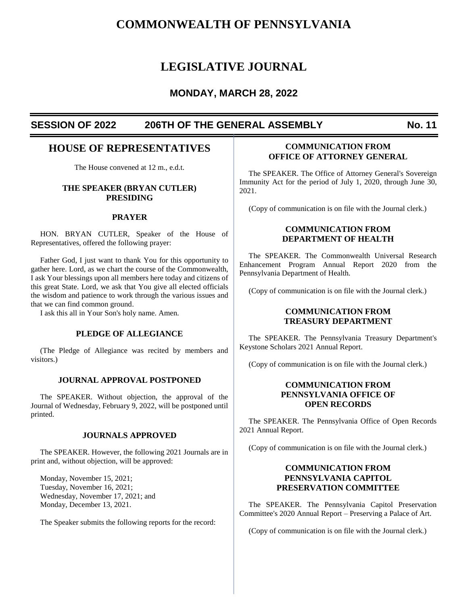# **COMMONWEALTH OF PENNSYLVANIA**

# **LEGISLATIVE JOURNAL**

## **MONDAY, MARCH 28, 2022**

## **SESSION OF 2022 206TH OF THE GENERAL ASSEMBLY No. 11**

## **HOUSE OF REPRESENTATIVES**

The House convened at 12 m., e.d.t.

## **THE SPEAKER (BRYAN CUTLER) PRESIDING**

#### **PRAYER**

HON. BRYAN CUTLER, Speaker of the House of Representatives, offered the following prayer:

Father God, I just want to thank You for this opportunity to gather here. Lord, as we chart the course of the Commonwealth, I ask Your blessings upon all members here today and citizens of this great State. Lord, we ask that You give all elected officials the wisdom and patience to work through the various issues and that we can find common ground.

I ask this all in Your Son's holy name. Amen.

#### **PLEDGE OF ALLEGIANCE**

(The Pledge of Allegiance was recited by members and visitors.)

#### **JOURNAL APPROVAL POSTPONED**

The SPEAKER. Without objection, the approval of the Journal of Wednesday, February 9, 2022, will be postponed until printed.

#### **JOURNALS APPROVED**

The SPEAKER. However, the following 2021 Journals are in print and, without objection, will be approved:

Monday, November 15, 2021; Tuesday, November 16, 2021; Wednesday, November 17, 2021; and Monday, December 13, 2021.

The Speaker submits the following reports for the record:

## **COMMUNICATION FROM OFFICE OF ATTORNEY GENERAL**

The SPEAKER. The Office of Attorney General's Sovereign Immunity Act for the period of July 1, 2020, through June 30, 2021.

(Copy of communication is on file with the Journal clerk.)

## **COMMUNICATION FROM DEPARTMENT OF HEALTH**

The SPEAKER. The Commonwealth Universal Research Enhancement Program Annual Report 2020 from the Pennsylvania Department of Health.

(Copy of communication is on file with the Journal clerk.)

## **COMMUNICATION FROM TREASURY DEPARTMENT**

The SPEAKER. The Pennsylvania Treasury Department's Keystone Scholars 2021 Annual Report.

(Copy of communication is on file with the Journal clerk.)

## **COMMUNICATION FROM PENNSYLVANIA OFFICE OF OPEN RECORDS**

The SPEAKER. The Pennsylvania Office of Open Records 2021 Annual Report.

(Copy of communication is on file with the Journal clerk.)

## **COMMUNICATION FROM PENNSYLVANIA CAPITOL PRESERVATION COMMITTEE**

The SPEAKER. The Pennsylvania Capitol Preservation Committee's 2020 Annual Report – Preserving a Palace of Art.

(Copy of communication is on file with the Journal clerk.)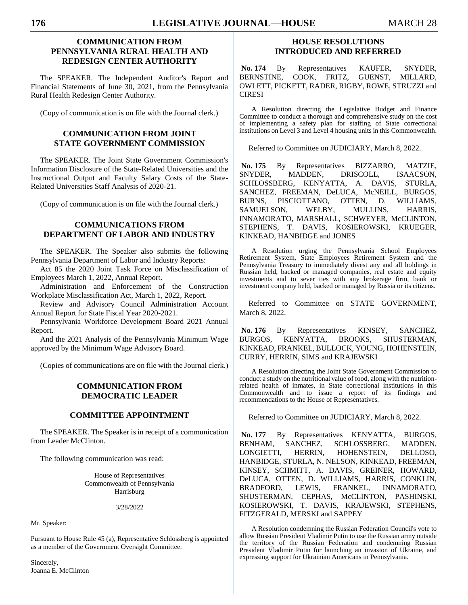## **COMMUNICATION FROM PENNSYLVANIA RURAL HEALTH AND REDESIGN CENTER AUTHORITY**

The SPEAKER. The Independent Auditor's Report and Financial Statements of June 30, 2021, from the Pennsylvania Rural Health Redesign Center Authority.

(Copy of communication is on file with the Journal clerk.)

## **COMMUNICATION FROM JOINT STATE GOVERNMENT COMMISSION**

The SPEAKER. The Joint State Government Commission's Information Disclosure of the State-Related Universities and the Instructional Output and Faculty Salary Costs of the State-Related Universities Staff Analysis of 2020-21.

(Copy of communication is on file with the Journal clerk.)

## **COMMUNICATIONS FROM DEPARTMENT OF LABOR AND INDUSTRY**

The SPEAKER. The Speaker also submits the following Pennsylvania Department of Labor and Industry Reports:

Act 85 the 2020 Joint Task Force on Misclassification of Employees March 1, 2022, Annual Report.

Administration and Enforcement of the Construction Workplace Misclassification Act, March 1, 2022, Report.

Review and Advisory Council Administration Account Annual Report for State Fiscal Year 2020-2021.

Pennsylvania Workforce Development Board 2021 Annual Report.

And the 2021 Analysis of the Pennsylvania Minimum Wage approved by the Minimum Wage Advisory Board.

(Copies of communications are on file with the Journal clerk.)

## **COMMUNICATION FROM DEMOCRATIC LEADER**

## **COMMITTEE APPOINTMENT**

The SPEAKER. The Speaker is in receipt of a communication from Leader McClinton.

The following communication was read:

House of Representatives Commonwealth of Pennsylvania Harrisburg

3/28/2022

Mr. Speaker:

Pursuant to House Rule 45 (a), Representative Schlossberg is appointed as a member of the Government Oversight Committee.

Sincerely, Joanna E. McClinton

## **HOUSE RESOLUTIONS INTRODUCED AND REFERRED**

**No. 174** By Representatives KAUFER, SNYDER, BERNSTINE, COOK, FRITZ, GUENST, MILLARD, OWLETT, PICKETT, RADER, RIGBY, ROWE, STRUZZI and **CIRESI** 

A Resolution directing the Legislative Budget and Finance Committee to conduct a thorough and comprehensive study on the cost of implementing a safety plan for staffing of State correctional institutions on Level 3 and Level 4 housing units in this Commonwealth.

Referred to Committee on JUDICIARY, March 8, 2022.

**No. 175** By Representatives BIZZARRO, MATZIE, SNYDER, MADDEN, DRISCOLL, ISAACSON, SCHLOSSBERG, KENYATTA, A. DAVIS, STURLA, SANCHEZ, FREEMAN, DeLUCA, McNEILL, BURGOS, BURNS, PISCIOTTANO, OTTEN, D. WILLIAMS, SAMUELSON, WELBY, MULLINS, HARRIS, INNAMORATO, MARSHALL, SCHWEYER, McCLINTON, STEPHENS, T. DAVIS, KOSIEROWSKI, KRUEGER, KINKEAD, HANBIDGE and JONES

A Resolution urging the Pennsylvania School Employees Retirement System, State Employees Retirement System and the Pennsylvania Treasury to immediately divest any and all holdings in Russian held, backed or managed companies, real estate and equity investments and to sever ties with any brokerage firm, bank or investment company held, backed or managed by Russia or its citizens.

Referred to Committee on STATE GOVERNMENT, March 8, 2022.

**No. 176** By Representatives KINSEY, SANCHEZ, BURGOS, KENYATTA, BROOKS, SHUSTERMAN, KINKEAD, FRANKEL, BULLOCK, YOUNG, HOHENSTEIN, CURRY, HERRIN, SIMS and KRAJEWSKI

A Resolution directing the Joint State Government Commission to conduct a study on the nutritional value of food, along with the nutritionrelated health of inmates, in State correctional institutions in this Commonwealth and to issue a report of its findings and recommendations to the House of Representatives.

Referred to Committee on JUDICIARY, March 8, 2022.

**No. 177** By Representatives KENYATTA, BURGOS, BENHAM, SANCHEZ, SCHLOSSBERG, MADDEN, LONGIETTI, HERRIN, HOHENSTEIN, DELLOSO, HANBIDGE, STURLA, N. NELSON, KINKEAD, FREEMAN, KINSEY, SCHMITT, A. DAVIS, GREINER, HOWARD, DeLUCA, OTTEN, D. WILLIAMS, HARRIS, CONKLIN, BRADFORD, LEWIS, FRANKEL, INNAMORATO, SHUSTERMAN, CEPHAS, McCLINTON, PASHINSKI, KOSIEROWSKI, T. DAVIS, KRAJEWSKI, STEPHENS, FITZGERALD, MERSKI and SAPPEY

A Resolution condemning the Russian Federation Council's vote to allow Russian President Vladimir Putin to use the Russian army outside the territory of the Russian Federation and condemning Russian President Vladimir Putin for launching an invasion of Ukraine, and expressing support for Ukrainian Americans in Pennsylvania.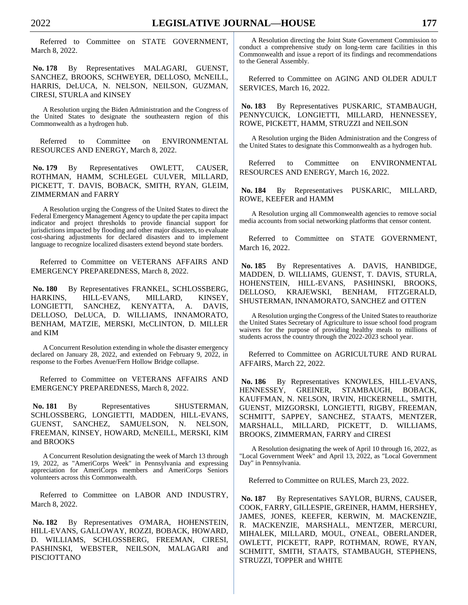Referred to Committee on STATE GOVERNMENT, March 8, 2022.

**No. 178** By Representatives MALAGARI, GUENST, SANCHEZ, BROOKS, SCHWEYER, DELLOSO, McNEILL, HARRIS, DeLUCA, N. NELSON, NEILSON, GUZMAN, CIRESI, STURLA and KINSEY

A Resolution urging the Biden Administration and the Congress of the United States to designate the southeastern region of this Commonwealth as a hydrogen hub.

Referred to Committee on ENVIRONMENTAL RESOURCES AND ENERGY, March 8, 2022.

**No. 179** By Representatives OWLETT, CAUSER, ROTHMAN, HAMM, SCHLEGEL CULVER, MILLARD, PICKETT, T. DAVIS, BOBACK, SMITH, RYAN, GLEIM, ZIMMERMAN and FARRY

A Resolution urging the Congress of the United States to direct the Federal Emergency Management Agency to update the per capita impact indicator and project thresholds to provide financial support for jurisdictions impacted by flooding and other major disasters, to evaluate cost-sharing adjustments for declared disasters and to implement language to recognize localized disasters extend beyond state borders.

Referred to Committee on VETERANS AFFAIRS AND EMERGENCY PREPAREDNESS, March 8, 2022.

**No. 180** By Representatives FRANKEL, SCHLOSSBERG, HARKINS, HILL-EVANS, MILLARD, KINSEY, LONGIETTI, SANCHEZ, KENYATTA, A. DAVIS, DELLOSO, DeLUCA, D. WILLIAMS, INNAMORATO, BENHAM, MATZIE, MERSKI, McCLINTON, D. MILLER and KIM

A Concurrent Resolution extending in whole the disaster emergency declared on January 28, 2022, and extended on February 9, 2022, in response to the Forbes Avenue/Fern Hollow Bridge collapse.

Referred to Committee on VETERANS AFFAIRS AND EMERGENCY PREPAREDNESS, March 8, 2022.

No. 181 By Representatives SHUSTERMAN, SCHLOSSBERG, LONGIETTI, MADDEN, HILL-EVANS, GUENST, SANCHEZ, SAMUELSON, N. NELSON, FREEMAN, KINSEY, HOWARD, McNEILL, MERSKI, KIM and BROOKS

A Concurrent Resolution designating the week of March 13 through 19, 2022, as "AmeriCorps Week" in Pennsylvania and expressing appreciation for AmeriCorps members and AmeriCorps Seniors volunteers across this Commonwealth.

Referred to Committee on LABOR AND INDUSTRY, March 8, 2022.

**No. 182** By Representatives O'MARA, HOHENSTEIN, HILL-EVANS, GALLOWAY, ROZZI, BOBACK, HOWARD, D. WILLIAMS, SCHLOSSBERG, FREEMAN, CIRESI, PASHINSKI, WEBSTER, NEILSON, MALAGARI and PISCIOTTANO

A Resolution directing the Joint State Government Commission to conduct a comprehensive study on long-term care facilities in this Commonwealth and issue a report of its findings and recommendations to the General Assembly.

Referred to Committee on AGING AND OLDER ADULT SERVICES, March 16, 2022.

**No. 183** By Representatives PUSKARIC, STAMBAUGH, PENNYCUICK, LONGIETTI, MILLARD, HENNESSEY, ROWE, PICKETT, HAMM, STRUZZI and NEILSON

A Resolution urging the Biden Administration and the Congress of the United States to designate this Commonwealth as a hydrogen hub.

Referred to Committee on ENVIRONMENTAL RESOURCES AND ENERGY, March 16, 2022.

**No. 184** By Representatives PUSKARIC, MILLARD, ROWE, KEEFER and HAMM

A Resolution urging all Commonwealth agencies to remove social media accounts from social networking platforms that censor content.

Referred to Committee on STATE GOVERNMENT, March 16, 2022.

**No. 185** By Representatives A. DAVIS, HANBIDGE, MADDEN, D. WILLIAMS, GUENST, T. DAVIS, STURLA, HOHENSTEIN, HILL-EVANS, PASHINSKI, BROOKS, DELLOSO, KRAJEWSKI, BENHAM, FITZGERALD, SHUSTERMAN, INNAMORATO, SANCHEZ and OTTEN

A Resolution urging the Congress of the United States to reauthorize the United States Secretary of Agriculture to issue school food program waivers for the purpose of providing healthy meals to millions of students across the country through the 2022-2023 school year.

Referred to Committee on AGRICULTURE AND RURAL AFFAIRS, March 22, 2022.

**No. 186** By Representatives KNOWLES, HILL-EVANS, HENNESSEY, GREINER, STAMBAUGH, BOBACK, KAUFFMAN, N. NELSON, IRVIN, HICKERNELL, SMITH, GUENST, MIZGORSKI, LONGIETTI, RIGBY, FREEMAN, SCHMITT, SAPPEY, SANCHEZ, STAATS, MENTZER, MARSHALL, MILLARD, PICKETT, D. WILLIAMS, BROOKS, ZIMMERMAN, FARRY and CIRESI

A Resolution designating the week of April 10 through 16, 2022, as "Local Government Week" and April 13, 2022, as "Local Government Day" in Pennsylvania.

Referred to Committee on RULES, March 23, 2022.

**No. 187** By Representatives SAYLOR, BURNS, CAUSER, COOK, FARRY, GILLESPIE, GREINER, HAMM, HERSHEY, JAMES, JONES, KEEFER, KERWIN, M. MACKENZIE, R. MACKENZIE, MARSHALL, MENTZER, MERCURI, MIHALEK, MILLARD, MOUL, O'NEAL, OBERLANDER, OWLETT, PICKETT, RAPP, ROTHMAN, ROWE, RYAN, SCHMITT, SMITH, STAATS, STAMBAUGH, STEPHENS, STRUZZI, TOPPER and WHITE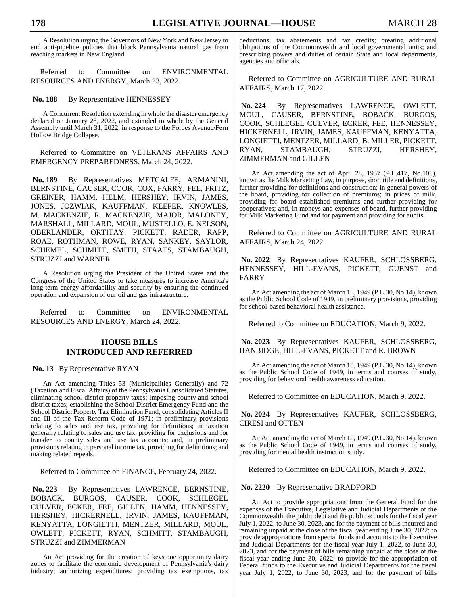A Resolution urging the Governors of New York and New Jersey to end anti-pipeline policies that block Pennsylvania natural gas from reaching markets in New England.

Referred to Committee on ENVIRONMENTAL RESOURCES AND ENERGY, March 23, 2022.

#### No. 188 By Representative HENNESSEY

A Concurrent Resolution extending in whole the disaster emergency declared on January 28, 2022, and extended in whole by the General Assembly until March 31, 2022, in response to the Forbes Avenue/Fern Hollow Bridge Collapse.

Referred to Committee on VETERANS AFFAIRS AND EMERGENCY PREPAREDNESS, March 24, 2022.

**No. 189** By Representatives METCALFE, ARMANINI, BERNSTINE, CAUSER, COOK, COX, FARRY, FEE, FRITZ, GREINER, HAMM, HELM, HERSHEY, IRVIN, JAMES, JONES, JOZWIAK, KAUFFMAN, KEEFER, KNOWLES, M. MACKENZIE, R. MACKENZIE, MAJOR, MALONEY, MARSHALL, MILLARD, MOUL, MUSTELLO, E. NELSON, OBERLANDER, ORTITAY, PICKETT, RADER, RAPP, ROAE, ROTHMAN, ROWE, RYAN, SANKEY, SAYLOR, SCHEMEL, SCHMITT, SMITH, STAATS, STAMBAUGH, STRUZZI and WARNER

A Resolution urging the President of the United States and the Congress of the United States to take measures to increase America's long-term energy affordability and security by ensuring the continued operation and expansion of our oil and gas infrastructure.

Referred to Committee on ENVIRONMENTAL RESOURCES AND ENERGY, March 24, 2022.

#### **HOUSE BILLS INTRODUCED AND REFERRED**

**No. 13** By Representative RYAN

An Act amending Titles 53 (Municipalities Generally) and 72 (Taxation and Fiscal Affairs) of the Pennsylvania Consolidated Statutes, eliminating school district property taxes; imposing county and school district taxes; establishing the School District Emergency Fund and the School District Property Tax Elimination Fund; consolidating Articles II and III of the Tax Reform Code of 1971; in preliminary provisions relating to sales and use tax, providing for definitions; in taxation generally relating to sales and use tax, providing for exclusions and for transfer to county sales and use tax accounts; and, in preliminary provisions relating to personal income tax, providing for definitions; and making related repeals.

Referred to Committee on FINANCE, February 24, 2022.

**No. 223** By Representatives LAWRENCE, BERNSTINE, BOBACK, BURGOS, CAUSER, COOK, SCHLEGEL CULVER, ECKER, FEE, GILLEN, HAMM, HENNESSEY, HERSHEY, HICKERNELL, IRVIN, JAMES, KAUFFMAN, KENYATTA, LONGIETTI, MENTZER, MILLARD, MOUL, OWLETT, PICKETT, RYAN, SCHMITT, STAMBAUGH, STRUZZI and ZIMMERMAN

An Act providing for the creation of keystone opportunity dairy zones to facilitate the economic development of Pennsylvania's dairy industry; authorizing expenditures; providing tax exemptions, tax deductions, tax abatements and tax credits; creating additional obligations of the Commonwealth and local governmental units; and prescribing powers and duties of certain State and local departments, agencies and officials.

Referred to Committee on AGRICULTURE AND RURAL AFFAIRS, March 17, 2022.

**No. 224** By Representatives LAWRENCE, OWLETT, MOUL, CAUSER, BERNSTINE, BOBACK, BURGOS, COOK, SCHLEGEL CULVER, ECKER, FEE, HENNESSEY, HICKERNELL, IRVIN, JAMES, KAUFFMAN, KENYATTA, LONGIETTI, MENTZER, MILLARD, B. MILLER, PICKETT, RYAN, STAMBAUGH, STRUZZI, HERSHEY, ZIMMERMAN and GILLEN

An Act amending the act of April 28, 1937 (P.L.417, No.105), known as the Milk Marketing Law, in purpose, short title and definitions, further providing for definitions and construction; in general powers of the board, providing for collection of premiums; in prices of milk, providing for board established premiums and further providing for cooperatives; and, in moneys and expenses of board, further providing for Milk Marketing Fund and for payment and providing for audits.

Referred to Committee on AGRICULTURE AND RURAL AFFAIRS, March 24, 2022.

**No. 2022** By Representatives KAUFER, SCHLOSSBERG, HENNESSEY, HILL-EVANS, PICKETT, GUENST and FARRY

An Act amending the act of March 10, 1949 (P.L.30, No.14), known as the Public School Code of 1949, in preliminary provisions, providing for school-based behavioral health assistance.

Referred to Committee on EDUCATION, March 9, 2022.

**No. 2023** By Representatives KAUFER, SCHLOSSBERG, HANBIDGE, HILL-EVANS, PICKETT and R. BROWN

An Act amending the act of March 10, 1949 (P.L.30, No.14), known as the Public School Code of 1949, in terms and courses of study, providing for behavioral health awareness education.

Referred to Committee on EDUCATION, March 9, 2022.

**No. 2024** By Representatives KAUFER, SCHLOSSBERG, CIRESI and OTTEN

An Act amending the act of March 10, 1949 (P.L.30, No.14), known as the Public School Code of 1949, in terms and courses of study, providing for mental health instruction study.

Referred to Committee on EDUCATION, March 9, 2022.

#### **No. 2220** By Representative BRADFORD

An Act to provide appropriations from the General Fund for the expenses of the Executive, Legislative and Judicial Departments of the Commonwealth, the public debt and the public schools for the fiscal year July 1, 2022, to June 30, 2023, and for the payment of bills incurred and remaining unpaid at the close of the fiscal year ending June 30, 2022; to provide appropriations from special funds and accounts to the Executive and Judicial Departments for the fiscal year July 1, 2022, to June 30, 2023, and for the payment of bills remaining unpaid at the close of the fiscal year ending June 30, 2022; to provide for the appropriation of Federal funds to the Executive and Judicial Departments for the fiscal year July 1, 2022, to June 30, 2023, and for the payment of bills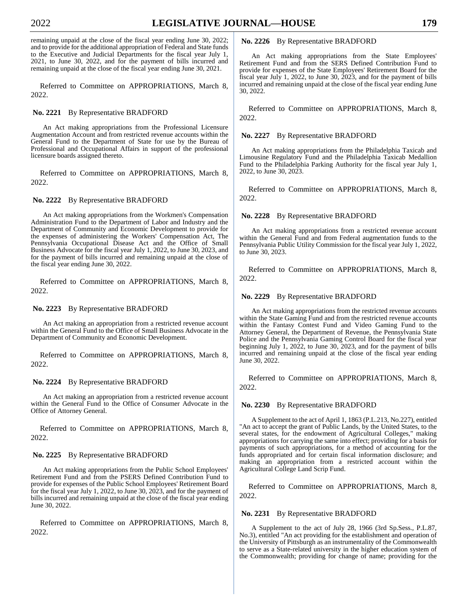remaining unpaid at the close of the fiscal year ending June 30, 2022; and to provide for the additional appropriation of Federal and State funds to the Executive and Judicial Departments for the fiscal year July 1, 2021, to June 30, 2022, and for the payment of bills incurred and remaining unpaid at the close of the fiscal year ending June 30, 2021.

Referred to Committee on APPROPRIATIONS, March 8, 2022.

#### **No. 2221** By Representative BRADFORD

An Act making appropriations from the Professional Licensure Augmentation Account and from restricted revenue accounts within the General Fund to the Department of State for use by the Bureau of Professional and Occupational Affairs in support of the professional licensure boards assigned thereto.

Referred to Committee on APPROPRIATIONS, March 8, 2022.

#### **No. 2222** By Representative BRADFORD

An Act making appropriations from the Workmen's Compensation Administration Fund to the Department of Labor and Industry and the Department of Community and Economic Development to provide for the expenses of administering the Workers' Compensation Act, The Pennsylvania Occupational Disease Act and the Office of Small Business Advocate for the fiscal year July 1, 2022, to June 30, 2023, and for the payment of bills incurred and remaining unpaid at the close of the fiscal year ending June 30, 2022.

Referred to Committee on APPROPRIATIONS, March 8, 2022.

#### **No. 2223** By Representative BRADFORD

An Act making an appropriation from a restricted revenue account within the General Fund to the Office of Small Business Advocate in the Department of Community and Economic Development.

Referred to Committee on APPROPRIATIONS, March 8, 2022.

#### **No. 2224** By Representative BRADFORD

An Act making an appropriation from a restricted revenue account within the General Fund to the Office of Consumer Advocate in the Office of Attorney General.

Referred to Committee on APPROPRIATIONS, March 8, 2022.

#### **No. 2225** By Representative BRADFORD

An Act making appropriations from the Public School Employees' Retirement Fund and from the PSERS Defined Contribution Fund to provide for expenses of the Public School Employees' Retirement Board for the fiscal year July 1, 2022, to June 30, 2023, and for the payment of bills incurred and remaining unpaid at the close of the fiscal year ending June 30, 2022.

Referred to Committee on APPROPRIATIONS, March 8, 2022.

#### **No. 2226** By Representative BRADFORD

An Act making appropriations from the State Employees' Retirement Fund and from the SERS Defined Contribution Fund to provide for expenses of the State Employees' Retirement Board for the fiscal year July 1, 2022, to June 30, 2023, and for the payment of bills incurred and remaining unpaid at the close of the fiscal year ending June 30, 2022.

Referred to Committee on APPROPRIATIONS, March 8, 2022.

**No. 2227** By Representative BRADFORD

An Act making appropriations from the Philadelphia Taxicab and Limousine Regulatory Fund and the Philadelphia Taxicab Medallion Fund to the Philadelphia Parking Authority for the fiscal year July 1, 2022, to June 30, 2023.

Referred to Committee on APPROPRIATIONS, March 8, 2022.

#### **No. 2228** By Representative BRADFORD

An Act making appropriations from a restricted revenue account within the General Fund and from Federal augmentation funds to the Pennsylvania Public Utility Commission for the fiscal year July 1, 2022, to June 30, 2023.

Referred to Committee on APPROPRIATIONS, March 8, 2022.

#### **No. 2229** By Representative BRADFORD

An Act making appropriations from the restricted revenue accounts within the State Gaming Fund and from the restricted revenue accounts within the Fantasy Contest Fund and Video Gaming Fund to the Attorney General, the Department of Revenue, the Pennsylvania State Police and the Pennsylvania Gaming Control Board for the fiscal year beginning July 1, 2022, to June 30, 2023, and for the payment of bills incurred and remaining unpaid at the close of the fiscal year ending June 30, 2022.

Referred to Committee on APPROPRIATIONS, March 8, 2022.

#### **No. 2230** By Representative BRADFORD

A Supplement to the act of April 1, 1863 (P.L.213, No.227), entitled "An act to accept the grant of Public Lands, by the United States, to the several states, for the endowment of Agricultural Colleges," making appropriations for carrying the same into effect; providing for a basis for payments of such appropriations, for a method of accounting for the funds appropriated and for certain fiscal information disclosure; and making an appropriation from a restricted account within the Agricultural College Land Scrip Fund.

Referred to Committee on APPROPRIATIONS, March 8, 2022.

#### **No. 2231** By Representative BRADFORD

A Supplement to the act of July 28, 1966 (3rd Sp.Sess., P.L.87, No.3), entitled "An act providing for the establishment and operation of the University of Pittsburgh as an instrumentality of the Commonwealth to serve as a State-related university in the higher education system of the Commonwealth; providing for change of name; providing for the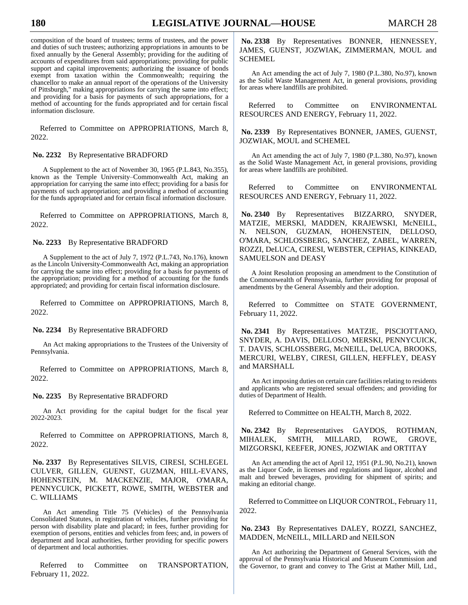composition of the board of trustees; terms of trustees, and the power and duties of such trustees; authorizing appropriations in amounts to be fixed annually by the General Assembly; providing for the auditing of accounts of expenditures from said appropriations; providing for public support and capital improvements; authorizing the issuance of bonds exempt from taxation within the Commonwealth; requiring the chancellor to make an annual report of the operations of the University of Pittsburgh," making appropriations for carrying the same into effect; and providing for a basis for payments of such appropriations, for a method of accounting for the funds appropriated and for certain fiscal information disclosure.

Referred to Committee on APPROPRIATIONS, March 8, 2022.

#### **No. 2232** By Representative BRADFORD

A Supplement to the act of November 30, 1965 (P.L.843, No.355), known as the Temple University–Commonwealth Act, making an appropriation for carrying the same into effect; providing for a basis for payments of such appropriation; and providing a method of accounting for the funds appropriated and for certain fiscal information disclosure.

Referred to Committee on APPROPRIATIONS, March 8, 2022.

**No. 2233** By Representative BRADFORD

A Supplement to the act of July 7, 1972 (P.L.743, No.176), known as the Lincoln University-Commonwealth Act, making an appropriation for carrying the same into effect; providing for a basis for payments of the appropriation; providing for a method of accounting for the funds appropriated; and providing for certain fiscal information disclosure.

Referred to Committee on APPROPRIATIONS, March 8, 2022.

#### **No. 2234** By Representative BRADFORD

An Act making appropriations to the Trustees of the University of Pennsylvania.

Referred to Committee on APPROPRIATIONS, March 8, 2022.

#### **No. 2235** By Representative BRADFORD

An Act providing for the capital budget for the fiscal year 2022-2023.

Referred to Committee on APPROPRIATIONS, March 8, 2022.

**No. 2337** By Representatives SILVIS, CIRESI, SCHLEGEL CULVER, GILLEN, GUENST, GUZMAN, HILL-EVANS, HOHENSTEIN, M. MACKENZIE, MAJOR, O'MARA, PENNYCUICK, PICKETT, ROWE, SMITH, WEBSTER and C. WILLIAMS

An Act amending Title 75 (Vehicles) of the Pennsylvania Consolidated Statutes, in registration of vehicles, further providing for person with disability plate and placard; in fees, further providing for exemption of persons, entities and vehicles from fees; and, in powers of department and local authorities, further providing for specific powers of department and local authorities.

Referred to Committee on TRANSPORTATION, February 11, 2022.

**No. 2338** By Representatives BONNER, HENNESSEY, JAMES, GUENST, JOZWIAK, ZIMMERMAN, MOUL and **SCHEMEL** 

An Act amending the act of July 7, 1980 (P.L.380, No.97), known as the Solid Waste Management Act, in general provisions, providing for areas where landfills are prohibited.

Referred to Committee on ENVIRONMENTAL RESOURCES AND ENERGY, February 11, 2022.

**No. 2339** By Representatives BONNER, JAMES, GUENST, JOZWIAK, MOUL and SCHEMEL

An Act amending the act of July 7, 1980 (P.L.380, No.97), known as the Solid Waste Management Act, in general provisions, providing for areas where landfills are prohibited.

Referred to Committee on ENVIRONMENTAL RESOURCES AND ENERGY, February 11, 2022.

**No. 2340** By Representatives BIZZARRO, SNYDER, MATZIE, MERSKI, MADDEN, KRAJEWSKI, McNEILL, NELSON, GUZMAN, HOHENSTEIN, DELLOSO, O'MARA, SCHLOSSBERG, SANCHEZ, ZABEL, WARREN, ROZZI, DeLUCA, CIRESI, WEBSTER, CEPHAS, KINKEAD, SAMUELSON and DEASY

A Joint Resolution proposing an amendment to the Constitution of the Commonwealth of Pennsylvania, further providing for proposal of amendments by the General Assembly and their adoption.

Referred to Committee on STATE GOVERNMENT, February 11, 2022.

**No. 2341** By Representatives MATZIE, PISCIOTTANO, SNYDER, A. DAVIS, DELLOSO, MERSKI, PENNYCUICK, T. DAVIS, SCHLOSSBERG, McNEILL, DeLUCA, BROOKS, MERCURI, WELBY, CIRESI, GILLEN, HEFFLEY, DEASY and MARSHALL

An Act imposing duties on certain care facilities relating to residents and applicants who are registered sexual offenders; and providing for duties of Department of Health.

Referred to Committee on HEALTH, March 8, 2022.

**No. 2342** By Representatives GAYDOS, ROTHMAN, MIHALEK, SMITH, MILLARD, ROWE, GROVE, MIZGORSKI, KEEFER, JONES, JOZWIAK and ORTITAY

An Act amending the act of April 12, 1951 (P.L.90, No.21), known as the Liquor Code, in licenses and regulations and liquor, alcohol and malt and brewed beverages, providing for shipment of spirits; and making an editorial change.

Referred to Committee on LIQUOR CONTROL, February 11, 2022.

**No. 2343** By Representatives DALEY, ROZZI, SANCHEZ, MADDEN, McNEILL, MILLARD and NEILSON

An Act authorizing the Department of General Services, with the approval of the Pennsylvania Historical and Museum Commission and the Governor, to grant and convey to The Grist at Mather Mill, Ltd.,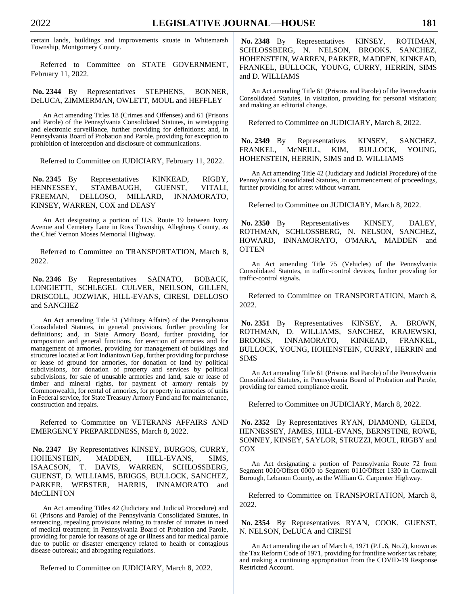certain lands, buildings and improvements situate in Whitemarsh Township, Montgomery County.

Referred to Committee on STATE GOVERNMENT, February 11, 2022.

**No. 2344** By Representatives STEPHENS, BONNER, DeLUCA, ZIMMERMAN, OWLETT, MOUL and HEFFLEY

An Act amending Titles 18 (Crimes and Offenses) and 61 (Prisons and Parole) of the Pennsylvania Consolidated Statutes, in wiretapping and electronic surveillance, further providing for definitions; and, in Pennsylvania Board of Probation and Parole, providing for exception to prohibition of interception and disclosure of communications.

Referred to Committee on JUDICIARY, February 11, 2022.

**No. 2345** By Representatives KINKEAD, RIGBY, HENNESSEY, STAMBAUGH, GUENST, VITALI, FREEMAN, DELLOSO, MILLARD, INNAMORATO, KINSEY, WARREN, COX and DEASY

An Act designating a portion of U.S. Route 19 between Ivory Avenue and Cemetery Lane in Ross Township, Allegheny County, as the Chief Vernon Moses Memorial Highway.

Referred to Committee on TRANSPORTATION, March 8, 2022.

**No. 2346** By Representatives SAINATO, BOBACK, LONGIETTI, SCHLEGEL CULVER, NEILSON, GILLEN, DRISCOLL, JOZWIAK, HILL-EVANS, CIRESI, DELLOSO and SANCHEZ

An Act amending Title 51 (Military Affairs) of the Pennsylvania Consolidated Statutes, in general provisions, further providing for definitions; and, in State Armory Board, further providing for composition and general functions, for erection of armories and for management of armories, providing for management of buildings and structures located at Fort Indiantown Gap, further providing for purchase or lease of ground for armories, for donation of land by political subdivisions, for donation of property and services by political subdivisions, for sale of unusable armories and land, sale or lease of timber and mineral rights, for payment of armory rentals by Commonwealth, for rental of armories, for property in armories of units in Federal service, for State Treasury Armory Fund and for maintenance, construction and repairs.

Referred to Committee on VETERANS AFFAIRS AND EMERGENCY PREPAREDNESS, March 8, 2022.

**No. 2347** By Representatives KINSEY, BURGOS, CURRY, HOHENSTEIN, MADDEN, HILL-EVANS, SIMS, ISAACSON, T. DAVIS, WARREN, SCHLOSSBERG, GUENST, D. WILLIAMS, BRIGGS, BULLOCK, SANCHEZ, PARKER, WEBSTER, HARRIS, INNAMORATO and McCLINTON

An Act amending Titles 42 (Judiciary and Judicial Procedure) and 61 (Prisons and Parole) of the Pennsylvania Consolidated Statutes, in sentencing, repealing provisions relating to transfer of inmates in need of medical treatment; in Pennsylvania Board of Probation and Parole, providing for parole for reasons of age or illness and for medical parole due to public or disaster emergency related to health or contagious disease outbreak; and abrogating regulations.

Referred to Committee on JUDICIARY, March 8, 2022.

**No. 2348** By Representatives KINSEY, ROTHMAN, SCHLOSSBERG, N. NELSON, BROOKS, SANCHEZ, HOHENSTEIN, WARREN, PARKER, MADDEN, KINKEAD, FRANKEL, BULLOCK, YOUNG, CURRY, HERRIN, SIMS and D. WILLIAMS

An Act amending Title 61 (Prisons and Parole) of the Pennsylvania Consolidated Statutes, in visitation, providing for personal visitation; and making an editorial change.

Referred to Committee on JUDICIARY, March 8, 2022.

**No. 2349** By Representatives KINSEY, SANCHEZ, FRANKEL, McNEILL, KIM, BULLOCK, YOUNG, HOHENSTEIN, HERRIN, SIMS and D. WILLIAMS

An Act amending Title 42 (Judiciary and Judicial Procedure) of the Pennsylvania Consolidated Statutes, in commencement of proceedings, further providing for arrest without warrant.

Referred to Committee on JUDICIARY, March 8, 2022.

**No. 2350** By Representatives KINSEY, DALEY, ROTHMAN, SCHLOSSBERG, N. NELSON, SANCHEZ, HOWARD, INNAMORATO, O'MARA, MADDEN and **OTTEN** 

An Act amending Title 75 (Vehicles) of the Pennsylvania Consolidated Statutes, in traffic-control devices, further providing for traffic-control signals.

Referred to Committee on TRANSPORTATION, March 8, 2022.

**No. 2351** By Representatives KINSEY, A. BROWN, ROTHMAN, D. WILLIAMS, SANCHEZ, KRAJEWSKI, BROOKS, INNAMORATO, KINKEAD, FRANKEL, BULLOCK, YOUNG, HOHENSTEIN, CURRY, HERRIN and SIMS

An Act amending Title 61 (Prisons and Parole) of the Pennsylvania Consolidated Statutes, in Pennsylvania Board of Probation and Parole, providing for earned compliance credit.

Referred to Committee on JUDICIARY, March 8, 2022.

**No. 2352** By Representatives RYAN, DIAMOND, GLEIM, HENNESSEY, JAMES, HILL-EVANS, BERNSTINE, ROWE, SONNEY, KINSEY, SAYLOR, STRUZZI, MOUL, RIGBY and COX

An Act designating a portion of Pennsylvania Route 72 from Segment 0010/Offset 0000 to Segment 0110/Offset 1330 in Cornwall Borough, Lebanon County, as the William G. Carpenter Highway.

Referred to Committee on TRANSPORTATION, March 8, 2022.

**No. 2354** By Representatives RYAN, COOK, GUENST, N. NELSON, DeLUCA and CIRESI

An Act amending the act of March 4, 1971 (P.L.6, No.2), known as the Tax Reform Code of 1971, providing for frontline worker tax rebate; and making a continuing appropriation from the COVID-19 Response Restricted Account.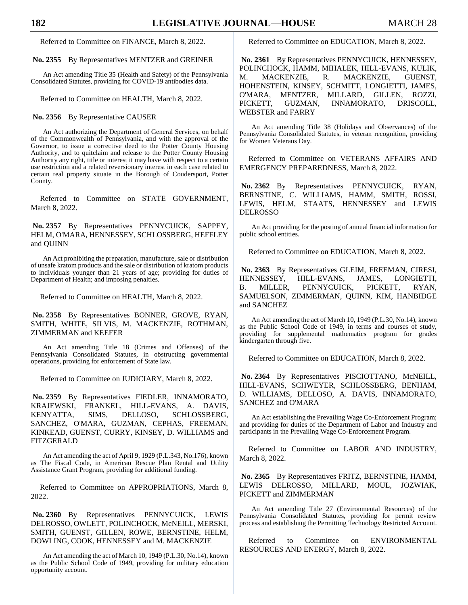Referred to Committee on FINANCE, March 8, 2022.

**No. 2355** By Representatives MENTZER and GREINER

An Act amending Title 35 (Health and Safety) of the Pennsylvania Consolidated Statutes, providing for COVID-19 antibodies data.

Referred to Committee on HEALTH, March 8, 2022.

#### **No. 2356** By Representative CAUSER

An Act authorizing the Department of General Services, on behalf of the Commonwealth of Pennsylvania, and with the approval of the Governor, to issue a corrective deed to the Potter County Housing Authority, and to quitclaim and release to the Potter County Housing Authority any right, title or interest it may have with respect to a certain use restriction and a related reversionary interest in each case related to certain real property situate in the Borough of Coudersport, Potter County.

Referred to Committee on STATE GOVERNMENT, March 8, 2022.

**No. 2357** By Representatives PENNYCUICK, SAPPEY, HELM, O'MARA, HENNESSEY, SCHLOSSBERG, HEFFLEY and QUINN

An Act prohibiting the preparation, manufacture, sale or distribution of unsafe kratom products and the sale or distribution of kratom products to individuals younger than 21 years of age; providing for duties of Department of Health; and imposing penalties.

Referred to Committee on HEALTH, March 8, 2022.

**No. 2358** By Representatives BONNER, GROVE, RYAN, SMITH, WHITE, SILVIS, M. MACKENZIE, ROTHMAN, ZIMMERMAN and KEEFER

An Act amending Title 18 (Crimes and Offenses) of the Pennsylvania Consolidated Statutes, in obstructing governmental operations, providing for enforcement of State law.

Referred to Committee on JUDICIARY, March 8, 2022.

**No. 2359** By Representatives FIEDLER, INNAMORATO, KRAJEWSKI, FRANKEL, HILL-EVANS, A. DAVIS, KENYATTA, SIMS, DELLOSO, SCHLOSSBERG, SANCHEZ, O'MARA, GUZMAN, CEPHAS, FREEMAN, KINKEAD, GUENST, CURRY, KINSEY, D. WILLIAMS and FITZGERALD

An Act amending the act of April 9, 1929 (P.L.343, No.176), known as The Fiscal Code, in American Rescue Plan Rental and Utility Assistance Grant Program, providing for additional funding.

Referred to Committee on APPROPRIATIONS, March 8, 2022.

**No. 2360** By Representatives PENNYCUICK, LEWIS DELROSSO, OWLETT, POLINCHOCK, McNEILL, MERSKI, SMITH, GUENST, GILLEN, ROWE, BERNSTINE, HELM, DOWLING, COOK, HENNESSEY and M. MACKENZIE

An Act amending the act of March 10, 1949 (P.L.30, No.14), known as the Public School Code of 1949, providing for military education opportunity account.

Referred to Committee on EDUCATION, March 8, 2022.

**No. 2361** By Representatives PENNYCUICK, HENNESSEY, POLINCHOCK, HAMM, MIHALEK, HILL-EVANS, KULIK, M. MACKENZIE, R. MACKENZIE, GUENST, HOHENSTEIN, KINSEY, SCHMITT, LONGIETTI, JAMES, O'MARA, MENTZER, MILLARD, GILLEN, ROZZI, PICKETT, GUZMAN, INNAMORATO, DRISCOLL, WEBSTER and FARRY

An Act amending Title 38 (Holidays and Observances) of the Pennsylvania Consolidated Statutes, in veteran recognition, providing for Women Veterans Day.

Referred to Committee on VETERANS AFFAIRS AND EMERGENCY PREPAREDNESS, March 8, 2022.

**No. 2362** By Representatives PENNYCUICK, RYAN, BERNSTINE, C. WILLIAMS, HAMM, SMITH, ROSSI, LEWIS, HELM, STAATS, HENNESSEY and LEWIS DELROSSO

An Act providing for the posting of annual financial information for public school entities.

Referred to Committee on EDUCATION, March 8, 2022.

**No. 2363** By Representatives GLEIM, FREEMAN, CIRESI, HENNESSEY, HILL-EVANS, JAMES, LONGIETTI, B. MILLER, PENNYCUICK, PICKETT, RYAN, SAMUELSON, ZIMMERMAN, QUINN, KIM, HANBIDGE and SANCHEZ

An Act amending the act of March 10, 1949 (P.L.30, No.14), known as the Public School Code of 1949, in terms and courses of study, providing for supplemental mathematics program for grades kindergarten through five.

Referred to Committee on EDUCATION, March 8, 2022.

**No. 2364** By Representatives PISCIOTTANO, McNEILL, HILL-EVANS, SCHWEYER, SCHLOSSBERG, BENHAM, D. WILLIAMS, DELLOSO, A. DAVIS, INNAMORATO, SANCHEZ and O'MARA

An Act establishing the Prevailing Wage Co-Enforcement Program; and providing for duties of the Department of Labor and Industry and participants in the Prevailing Wage Co-Enforcement Program.

Referred to Committee on LABOR AND INDUSTRY, March 8, 2022.

**No. 2365** By Representatives FRITZ, BERNSTINE, HAMM, LEWIS DELROSSO, MILLARD, MOUL, JOZWIAK, PICKETT and ZIMMERMAN

An Act amending Title 27 (Environmental Resources) of the Pennsylvania Consolidated Statutes, providing for permit review process and establishing the Permitting Technology Restricted Account.

Referred to Committee on ENVIRONMENTAL RESOURCES AND ENERGY, March 8, 2022.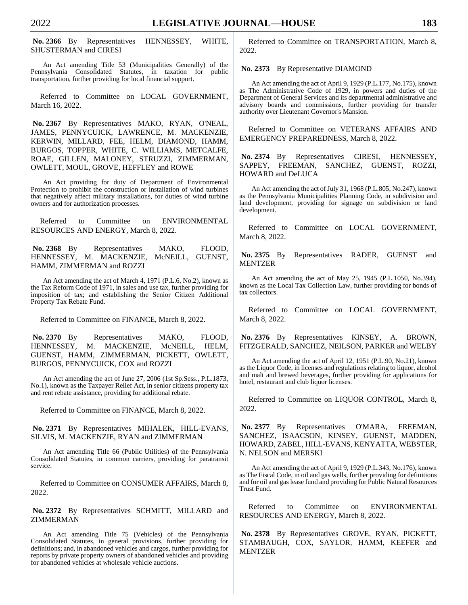**No. 2366** By Representatives HENNESSEY, WHITE, SHUSTERMAN and CIRESI

An Act amending Title 53 (Municipalities Generally) of the Pennsylvania Consolidated Statutes, in taxation for public transportation, further providing for local financial support.

Referred to Committee on LOCAL GOVERNMENT, March 16, 2022.

**No. 2367** By Representatives MAKO, RYAN, O'NEAL, JAMES, PENNYCUICK, LAWRENCE, M. MACKENZIE, KERWIN, MILLARD, FEE, HELM, DIAMOND, HAMM, BURGOS, TOPPER, WHITE, C. WILLIAMS, METCALFE, ROAE, GILLEN, MALONEY, STRUZZI, ZIMMERMAN, OWLETT, MOUL, GROVE, HEFFLEY and ROWE

An Act providing for duty of Department of Environmental Protection to prohibit the construction or installation of wind turbines that negatively affect military installations, for duties of wind turbine owners and for authorization processes.

Referred to Committee on ENVIRONMENTAL RESOURCES AND ENERGY, March 8, 2022.

**No. 2368** By Representatives MAKO, FLOOD, HENNESSEY, M. MACKENZIE, McNEILL, GUENST, HAMM, ZIMMERMAN and ROZZI

An Act amending the act of March 4, 1971 (P.L.6, No.2), known as the Tax Reform Code of 1971, in sales and use tax, further providing for imposition of tax; and establishing the Senior Citizen Additional Property Tax Rebate Fund.

Referred to Committee on FINANCE, March 8, 2022.

No. 2370 By Representatives MAKO, FLOOD, HENNESSEY, M. MACKENZIE, McNEILL, HELM, GUENST, HAMM, ZIMMERMAN, PICKETT, OWLETT, BURGOS, PENNYCUICK, COX and ROZZI

An Act amending the act of June 27, 2006 (1st Sp.Sess., P.L.1873, No.1), known as the Taxpayer Relief Act, in senior citizens property tax and rent rebate assistance, providing for additional rebate.

Referred to Committee on FINANCE, March 8, 2022.

**No. 2371** By Representatives MIHALEK, HILL-EVANS, SILVIS, M. MACKENZIE, RYAN and ZIMMERMAN

An Act amending Title 66 (Public Utilities) of the Pennsylvania Consolidated Statutes, in common carriers, providing for paratransit service.

Referred to Committee on CONSUMER AFFAIRS, March 8, 2022.

**No. 2372** By Representatives SCHMITT, MILLARD and ZIMMERMAN

An Act amending Title 75 (Vehicles) of the Pennsylvania Consolidated Statutes, in general provisions, further providing for definitions; and, in abandoned vehicles and cargos, further providing for reports by private property owners of abandoned vehicles and providing for abandoned vehicles at wholesale vehicle auctions.

Referred to Committee on TRANSPORTATION, March 8, 2022.

**No. 2373** By Representative DIAMOND

An Act amending the act of April 9, 1929 (P.L.177, No.175), known as The Administrative Code of 1929, in powers and duties of the Department of General Services and its departmental administrative and advisory boards and commissions, further providing for transfer authority over Lieutenant Governor's Mansion.

Referred to Committee on VETERANS AFFAIRS AND EMERGENCY PREPAREDNESS, March 8, 2022.

**No. 2374** By Representatives CIRESI, HENNESSEY, SAPPEY, FREEMAN, SANCHEZ, GUENST, ROZZI, HOWARD and DeLUCA

An Act amending the act of July 31, 1968 (P.L.805, No.247), known as the Pennsylvania Municipalities Planning Code, in subdivision and land development, providing for signage on subdivision or land development.

Referred to Committee on LOCAL GOVERNMENT, March 8, 2022.

**No. 2375** By Representatives RADER, GUENST and MENTZER

An Act amending the act of May 25, 1945 (P.L.1050, No.394), known as the Local Tax Collection Law, further providing for bonds of tax collectors.

Referred to Committee on LOCAL GOVERNMENT, March 8, 2022.

**No. 2376** By Representatives KINSEY, A. BROWN, FITZGERALD, SANCHEZ, NEILSON, PARKER and WELBY

An Act amending the act of April 12, 1951 (P.L.90, No.21), known as the Liquor Code, in licenses and regulations relating to liquor, alcohol and malt and brewed beverages, further providing for applications for hotel, restaurant and club liquor licenses.

Referred to Committee on LIQUOR CONTROL, March 8, 2022.

**No. 2377** By Representatives O'MARA, FREEMAN, SANCHEZ, ISAACSON, KINSEY, GUENST, MADDEN, HOWARD, ZABEL, HILL-EVANS, KENYATTA, WEBSTER, N. NELSON and MERSKI

An Act amending the act of April 9, 1929 (P.L.343, No.176), known as The Fiscal Code, in oil and gas wells, further providing for definitions and for oil and gas lease fund and providing for Public Natural Resources Trust Fund.

Referred to Committee on ENVIRONMENTAL RESOURCES AND ENERGY, March 8, 2022.

**No. 2378** By Representatives GROVE, RYAN, PICKETT, STAMBAUGH, COX, SAYLOR, HAMM, KEEFER and MENTZER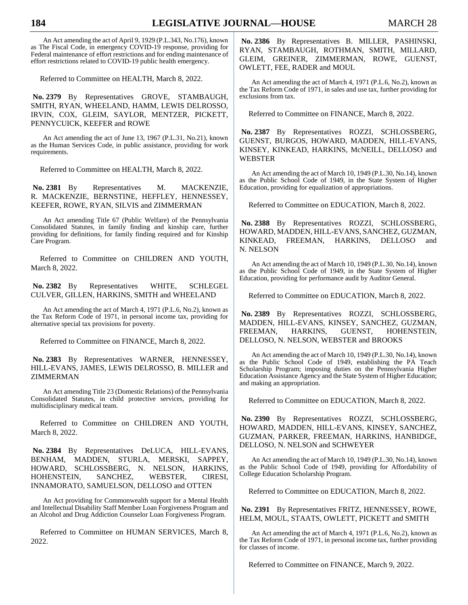An Act amending the act of April 9, 1929 (P.L.343, No.176), known as The Fiscal Code, in emergency COVID-19 response, providing for Federal maintenance of effort restrictions and for ending maintenance of effort restrictions related to COVID-19 public health emergency.

Referred to Committee on HEALTH, March 8, 2022.

**No. 2379** By Representatives GROVE, STAMBAUGH, SMITH, RYAN, WHEELAND, HAMM, LEWIS DELROSSO, IRVIN, COX, GLEIM, SAYLOR, MENTZER, PICKETT, PENNYCUICK, KEEFER and ROWE

An Act amending the act of June 13, 1967 (P.L.31, No.21), known as the Human Services Code, in public assistance, providing for work requirements.

Referred to Committee on HEALTH, March 8, 2022.

No. 2381 By Representatives M. MACKENZIE, R. MACKENZIE, BERNSTINE, HEFFLEY, HENNESSEY, KEEFER, ROWE, RYAN, SILVIS and ZIMMERMAN

An Act amending Title 67 (Public Welfare) of the Pennsylvania Consolidated Statutes, in family finding and kinship care, further providing for definitions, for family finding required and for Kinship Care Program.

Referred to Committee on CHILDREN AND YOUTH, March 8, 2022.

**No. 2382** By Representatives WHITE, SCHLEGEL CULVER, GILLEN, HARKINS, SMITH and WHEELAND

An Act amending the act of March 4, 1971 (P.L.6, No.2), known as the Tax Reform Code of 1971, in personal income tax, providing for alternative special tax provisions for poverty.

Referred to Committee on FINANCE, March 8, 2022.

**No. 2383** By Representatives WARNER, HENNESSEY, HILL-EVANS, JAMES, LEWIS DELROSSO, B. MILLER and ZIMMERMAN

An Act amending Title 23 (Domestic Relations) of the Pennsylvania Consolidated Statutes, in child protective services, providing for multidisciplinary medical team.

Referred to Committee on CHILDREN AND YOUTH, March 8, 2022.

**No. 2384** By Representatives DeLUCA, HILL-EVANS, BENHAM, MADDEN, STURLA, MERSKI, SAPPEY, HOWARD, SCHLOSSBERG, N. NELSON, HARKINS, HOHENSTEIN, SANCHEZ, WEBSTER, CIRESI, INNAMORATO, SAMUELSON, DELLOSO and OTTEN

An Act providing for Commonwealth support for a Mental Health and Intellectual Disability Staff Member Loan Forgiveness Program and an Alcohol and Drug Addiction Counselor Loan Forgiveness Program.

Referred to Committee on HUMAN SERVICES, March 8, 2022.

**No. 2386** By Representatives B. MILLER, PASHINSKI, RYAN, STAMBAUGH, ROTHMAN, SMITH, MILLARD, GLEIM, GREINER, ZIMMERMAN, ROWE, GUENST, OWLETT, FEE, RADER and MOUL

An Act amending the act of March 4, 1971 (P.L.6, No.2), known as the Tax Reform Code of 1971, in sales and use tax, further providing for exclusions from tax.

Referred to Committee on FINANCE, March 8, 2022.

**No. 2387** By Representatives ROZZI, SCHLOSSBERG, GUENST, BURGOS, HOWARD, MADDEN, HILL-EVANS, KINSEY, KINKEAD, HARKINS, McNEILL, DELLOSO and WEBSTER

An Act amending the act of March 10, 1949 (P.L.30, No.14), known as the Public School Code of 1949, in the State System of Higher Education, providing for equalization of appropriations.

Referred to Committee on EDUCATION, March 8, 2022.

**No. 2388** By Representatives ROZZI, SCHLOSSBERG, HOWARD, MADDEN, HILL-EVANS, SANCHEZ, GUZMAN, KINKEAD, FREEMAN, HARKINS, DELLOSO and N. NELSON

An Act amending the act of March 10, 1949 (P.L.30, No.14), known as the Public School Code of 1949, in the State System of Higher Education, providing for performance audit by Auditor General.

Referred to Committee on EDUCATION, March 8, 2022.

**No. 2389** By Representatives ROZZI, SCHLOSSBERG, MADDEN, HILL-EVANS, KINSEY, SANCHEZ, GUZMAN, FREEMAN, HARKINS, GUENST, HOHENSTEIN, DELLOSO, N. NELSON, WEBSTER and BROOKS

An Act amending the act of March 10, 1949 (P.L.30, No.14), known as the Public School Code of 1949, establishing the PA Teach Scholarship Program; imposing duties on the Pennsylvania Higher Education Assistance Agency and the State System of Higher Education; and making an appropriation.

Referred to Committee on EDUCATION, March 8, 2022.

**No. 2390** By Representatives ROZZI, SCHLOSSBERG, HOWARD, MADDEN, HILL-EVANS, KINSEY, SANCHEZ, GUZMAN, PARKER, FREEMAN, HARKINS, HANBIDGE, DELLOSO, N. NELSON and SCHWEYER

An Act amending the act of March 10, 1949 (P.L.30, No.14), known as the Public School Code of 1949, providing for Affordability of College Education Scholarship Program.

Referred to Committee on EDUCATION, March 8, 2022.

**No. 2391** By Representatives FRITZ, HENNESSEY, ROWE, HELM, MOUL, STAATS, OWLETT, PICKETT and SMITH

An Act amending the act of March 4, 1971 (P.L.6, No.2), known as the Tax Reform Code of 1971, in personal income tax, further providing for classes of income.

Referred to Committee on FINANCE, March 9, 2022.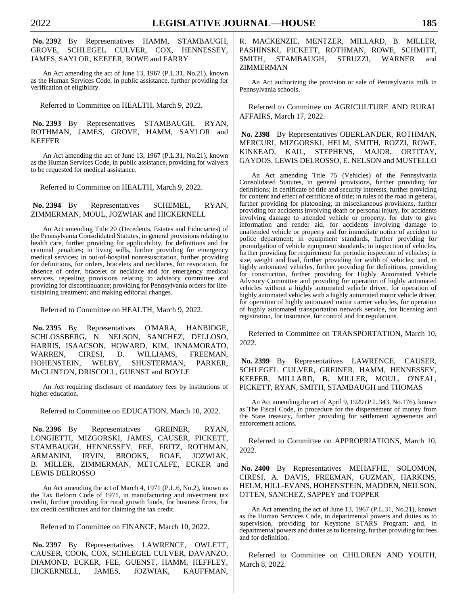## **No. 2392** By Representatives HAMM, STAMBAUGH, GROVE, SCHLEGEL CULVER, COX, HENNESSEY, JAMES, SAYLOR, KEEFER, ROWE and FARRY

An Act amending the act of June 13, 1967 (P.L.31, No.21), known as the Human Services Code, in public assistance, further providing for verification of eligibility.

Referred to Committee on HEALTH, March 9, 2022.

#### **No. 2393** By Representatives STAMBAUGH, RYAN, ROTHMAN, JAMES, GROVE, HAMM, SAYLOR and KEEFER

An Act amending the act of June 13, 1967 (P.L.31, No.21), known as the Human Services Code, in public assistance, providing for waivers to be requested for medical assistance.

Referred to Committee on HEALTH, March 9, 2022.

#### **No. 2394** By Representatives SCHEMEL, RYAN, ZIMMERMAN, MOUL, JOZWIAK and HICKERNELL

An Act amending Title 20 (Decedents, Estates and Fiduciaries) of the Pennsylvania Consolidated Statutes, in general provisions relating to health care, further providing for applicability, for definitions and for criminal penalties; in living wills, further providing for emergency medical services; in out-of-hospital nonresuscitation, further providing for definitions, for orders, bracelets and necklaces, for revocation, for absence of order, bracelet or necklace and for emergency medical services, repealing provisions relating to advisory committee and providing for discontinuance; providing for Pennsylvania orders for lifesustaining treatment; and making editorial changes.

Referred to Committee on HEALTH, March 9, 2022.

**No. 2395** By Representatives O'MARA, HANBIDGE, SCHLOSSBERG, N. NELSON, SANCHEZ, DELLOSO, HARRIS, ISAACSON, HOWARD, KIM, INNAMORATO, WARREN, CIRESI, D. WILLIAMS, FREEMAN, HOHENSTEIN, WELBY, SHUSTERMAN, PARKER, McCLINTON, DRISCOLL, GUENST and BOYLE

An Act requiring disclosure of mandatory fees by institutions of higher education.

Referred to Committee on EDUCATION, March 10, 2022.

**No. 2396** By Representatives GREINER, RYAN, LONGIETTI, MIZGORSKI, JAMES, CAUSER, PICKETT, STAMBAUGH, HENNESSEY, FEE, FRITZ, ROTHMAN, ARMANINI, IRVIN, BROOKS, ROAE, JOZWIAK, B. MILLER, ZIMMERMAN, METCALFE, ECKER and LEWIS DELROSSO

An Act amending the act of March 4, 1971 (P.L.6, No.2), known as the Tax Reform Code of 1971, in manufacturing and investment tax credit, further providing for rural growth funds, for business firms, for tax credit certificates and for claiming the tax credit.

Referred to Committee on FINANCE, March 10, 2022.

**No. 2397** By Representatives LAWRENCE, OWLETT, CAUSER, COOK, COX, SCHLEGEL CULVER, DAVANZO, DIAMOND, ECKER, FEE, GUENST, HAMM, HEFFLEY, HICKERNELL, JAMES, JOZWIAK, KAUFFMAN, R. MACKENZIE, MENTZER, MILLARD, B. MILLER, PASHINSKI, PICKETT, ROTHMAN, ROWE, SCHMITT, SMITH, STAMBAUGH, STRUZZI, WARNER and ZIMMERMAN

An Act authorizing the provision or sale of Pennsylvania milk in Pennsylvania schools.

Referred to Committee on AGRICULTURE AND RURAL AFFAIRS, March 17, 2022.

**No. 2398** By Representatives OBERLANDER, ROTHMAN, MERCURI, MIZGORSKI, HELM, SMITH, ROZZI, ROWE, KINKEAD, KAIL, STEPHENS, MAJOR, ORTITAY, GAYDOS, LEWIS DELROSSO, E. NELSON and MUSTELLO

An Act amending Title 75 (Vehicles) of the Pennsylvania Consolidated Statutes, in general provisions, further providing for definitions; in certificate of title and security interests, further providing for content and effect of certificate of title; in rules of the road in general, further providing for platooning; in miscellaneous provisions, further providing for accidents involving death or personal injury, for accidents involving damage to attended vehicle or property, for duty to give information and render aid, for accidents involving damage to unattended vehicle or property and for immediate notice of accident to police department; in equipment standards, further providing for promulgation of vehicle equipment standards; in inspection of vehicles, further providing for requirement for periodic inspection of vehicles; in size, weight and load, further providing for width of vehicles; and, in highly automated vehicles, further providing for definitions, providing for construction, further providing for Highly Automated Vehicle Advisory Committee and providing for operation of highly automated vehicles without a highly automated vehicle driver, for operation of highly automated vehicles with a highly automated motor vehicle driver, for operation of highly automated motor carrier vehicles, for operation of highly automated transportation network service, for licensing and registration, for insurance, for control and for regulations.

Referred to Committee on TRANSPORTATION, March 10, 2022.

**No. 2399** By Representatives LAWRENCE, CAUSER, SCHLEGEL CULVER, GREINER, HAMM, HENNESSEY, KEEFER, MILLARD, B. MILLER, MOUL, O'NEAL, PICKETT, RYAN, SMITH, STAMBAUGH and THOMAS

An Act amending the act of April 9, 1929 (P.L.343, No.176), known as The Fiscal Code, in procedure for the dispersement of money from the State treasury, further providing for settlement agreements and enforcement actions.

Referred to Committee on APPROPRIATIONS, March 10, 2022.

**No. 2400** By Representatives MEHAFFIE, SOLOMON, CIRESI, A. DAVIS, FREEMAN, GUZMAN, HARKINS, HELM, HILL-EVANS, HOHENSTEIN, MADDEN, NEILSON, OTTEN, SANCHEZ, SAPPEY and TOPPER

An Act amending the act of June 13, 1967 (P.L.31, No.21), known as the Human Services Code, in departmental powers and duties as to supervision, providing for Keystone STARS Program; and, in departmental powers and duties as to licensing, further providing for fees and for definition.

Referred to Committee on CHILDREN AND YOUTH, March 8, 2022.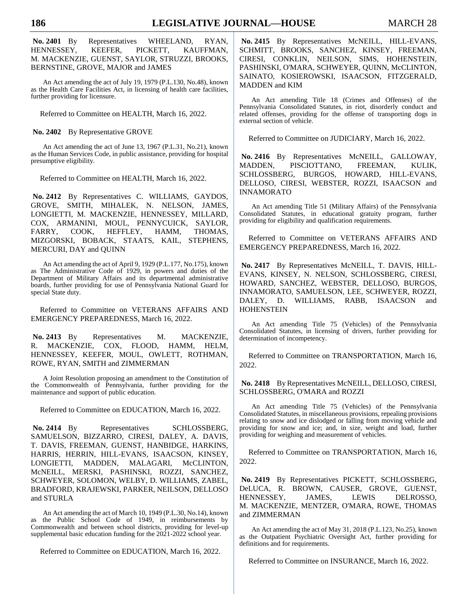**No. 2401** By Representatives WHEELAND, RYAN, HENNESSEY, KEEFER, PICKETT, KAUFFMAN, M. MACKENZIE, GUENST, SAYLOR, STRUZZI, BROOKS, BERNSTINE, GROVE, MAJOR and JAMES

An Act amending the act of July 19, 1979 (P.L.130, No.48), known as the Health Care Facilities Act, in licensing of health care facilities, further providing for licensure.

Referred to Committee on HEALTH, March 16, 2022.

#### **No. 2402** By Representative GROVE

An Act amending the act of June 13, 1967 (P.L.31, No.21), known as the Human Services Code, in public assistance, providing for hospital presumptive eligibility.

Referred to Committee on HEALTH, March 16, 2022.

**No. 2412** By Representatives C. WILLIAMS, GAYDOS, GROVE, SMITH, MIHALEK, N. NELSON, JAMES, LONGIETTI, M. MACKENZIE, HENNESSEY, MILLARD, COX, ARMANINI, MOUL, PENNYCUICK, SAYLOR, FARRY, COOK, HEFFLEY, HAMM, THOMAS, MIZGORSKI, BOBACK, STAATS, KAIL, STEPHENS, MERCURI, DAY and QUINN

An Act amending the act of April 9, 1929 (P.L.177, No.175), known as The Administrative Code of 1929, in powers and duties of the Department of Military Affairs and its departmental administrative boards, further providing for use of Pennsylvania National Guard for special State duty.

Referred to Committee on VETERANS AFFAIRS AND EMERGENCY PREPAREDNESS, March 16, 2022.

No. 2413 By Representatives M. MACKENZIE, R. MACKENZIE, COX, FLOOD, HAMM, HELM, HENNESSEY, KEEFER, MOUL, OWLETT, ROTHMAN, ROWE, RYAN, SMITH and ZIMMERMAN

A Joint Resolution proposing an amendment to the Constitution of the Commonwealth of Pennsylvania, further providing for the maintenance and support of public education.

Referred to Committee on EDUCATION, March 16, 2022.

No. 2414 By Representatives SCHLOSSBERG, SAMUELSON, BIZZARRO, CIRESI, DALEY, A. DAVIS, T. DAVIS, FREEMAN, GUENST, HANBIDGE, HARKINS, HARRIS, HERRIN, HILL-EVANS, ISAACSON, KINSEY, LONGIETTI, MADDEN, MALAGARI, McCLINTON, McNEILL, MERSKI, PASHINSKI, ROZZI, SANCHEZ, SCHWEYER, SOLOMON, WELBY, D. WILLIAMS, ZABEL, BRADFORD, KRAJEWSKI, PARKER, NEILSON, DELLOSO and STURLA

An Act amending the act of March 10, 1949 (P.L.30, No.14), known as the Public School Code of 1949, in reimbursements by Commonwealth and between school districts, providing for level-up supplemental basic education funding for the 2021-2022 school year.

Referred to Committee on EDUCATION, March 16, 2022.

**No. 2415** By Representatives McNEILL, HILL-EVANS, SCHMITT, BROOKS, SANCHEZ, KINSEY, FREEMAN, CIRESI, CONKLIN, NEILSON, SIMS, HOHENSTEIN, PASHINSKI, O'MARA, SCHWEYER, QUINN, McCLINTON, SAINATO, KOSIEROWSKI, ISAACSON, FITZGERALD, MADDEN and KIM

An Act amending Title 18 (Crimes and Offenses) of the Pennsylvania Consolidated Statutes, in riot, disorderly conduct and related offenses, providing for the offense of transporting dogs in external section of vehicle.

Referred to Committee on JUDICIARY, March 16, 2022.

No. 2416 By Representatives McNEILL, GALLOWAY, MADDEN, PISCIOTTANO, FREEMAN, KULIK, SCHLOSSBERG, BURGOS, HOWARD, HILL-EVANS, DELLOSO, CIRESI, WEBSTER, ROZZI, ISAACSON and INNAMORATO

An Act amending Title 51 (Military Affairs) of the Pennsylvania Consolidated Statutes, in educational gratuity program, further providing for eligibility and qualification requirements.

Referred to Committee on VETERANS AFFAIRS AND EMERGENCY PREPAREDNESS, March 16, 2022.

**No. 2417** By Representatives McNEILL, T. DAVIS, HILL-EVANS, KINSEY, N. NELSON, SCHLOSSBERG, CIRESI, HOWARD, SANCHEZ, WEBSTER, DELLOSO, BURGOS, INNAMORATO, SAMUELSON, LEE, SCHWEYER, ROZZI, DALEY, D. WILLIAMS, RABB, ISAACSON and HOHENSTEIN

An Act amending Title 75 (Vehicles) of the Pennsylvania Consolidated Statutes, in licensing of drivers, further providing for determination of incompetency.

Referred to Committee on TRANSPORTATION, March 16, 2022.

**No. 2418** By Representatives McNEILL, DELLOSO, CIRESI, SCHLOSSBERG, O'MARA and ROZZI

An Act amending Title 75 (Vehicles) of the Pennsylvania Consolidated Statutes, in miscellaneous provisions, repealing provisions relating to snow and ice dislodged or falling from moving vehicle and providing for snow and ice; and, in size, weight and load, further providing for weighing and measurement of vehicles.

Referred to Committee on TRANSPORTATION, March 16, 2022.

**No. 2419** By Representatives PICKETT, SCHLOSSBERG, DeLUCA, R. BROWN, CAUSER, GROVE, GUENST, HENNESSEY, JAMES, LEWIS DELROSSO, M. MACKENZIE, MENTZER, O'MARA, ROWE, THOMAS and ZIMMERMAN

An Act amending the act of May 31, 2018 (P.L.123, No.25), known as the Outpatient Psychiatric Oversight Act, further providing for definitions and for requirements.

Referred to Committee on INSURANCE, March 16, 2022.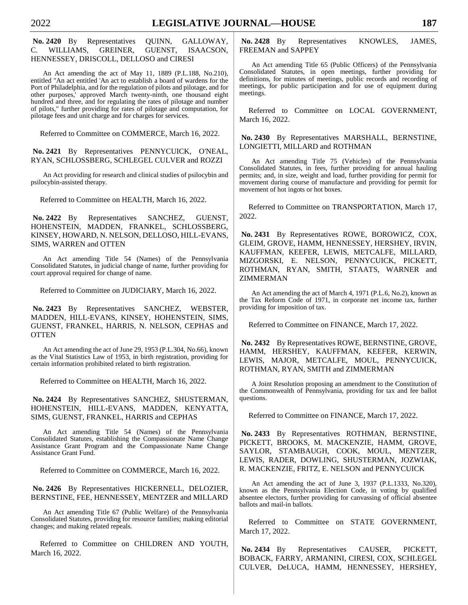**No. 2420** By Representatives QUINN, GALLOWAY, C. WILLIAMS, GREINER, GUENST, ISAACSON, HENNESSEY, DRISCOLL, DELLOSO and CIRESI

An Act amending the act of May 11, 1889 (P.L.188, No.210), entitled "An act entitled 'An act to establish a board of wardens for the Port of Philadelphia, and for the regulation of pilots and pilotage, and for other purposes,' approved March twenty-ninth, one thousand eight hundred and three, and for regulating the rates of pilotage and number of pilots," further providing for rates of pilotage and computation, for pilotage fees and unit charge and for charges for services.

Referred to Committee on COMMERCE, March 16, 2022.

**No. 2421** By Representatives PENNYCUICK, O'NEAL, RYAN, SCHLOSSBERG, SCHLEGEL CULVER and ROZZI

An Act providing for research and clinical studies of psilocybin and psilocybin-assisted therapy.

Referred to Committee on HEALTH, March 16, 2022.

**No. 2422** By Representatives SANCHEZ, GUENST, HOHENSTEIN, MADDEN, FRANKEL, SCHLOSSBERG, KINSEY, HOWARD, N. NELSON, DELLOSO, HILL-EVANS, SIMS, WARREN and OTTEN

An Act amending Title 54 (Names) of the Pennsylvania Consolidated Statutes, in judicial change of name, further providing for court approval required for change of name.

Referred to Committee on JUDICIARY, March 16, 2022.

**No. 2423** By Representatives SANCHEZ, WEBSTER, MADDEN, HILL-EVANS, KINSEY, HOHENSTEIN, SIMS, GUENST, FRANKEL, HARRIS, N. NELSON, CEPHAS and **OTTEN** 

An Act amending the act of June 29, 1953 (P.L.304, No.66), known as the Vital Statistics Law of 1953, in birth registration, providing for certain information prohibited related to birth registration.

Referred to Committee on HEALTH, March 16, 2022.

**No. 2424** By Representatives SANCHEZ, SHUSTERMAN, HOHENSTEIN, HILL-EVANS, MADDEN, KENYATTA, SIMS, GUENST, FRANKEL, HARRIS and CEPHAS

An Act amending Title 54 (Names) of the Pennsylvania Consolidated Statutes, establishing the Compassionate Name Change Assistance Grant Program and the Compassionate Name Change Assistance Grant Fund.

Referred to Committee on COMMERCE, March 16, 2022.

**No. 2426** By Representatives HICKERNELL, DELOZIER, BERNSTINE, FEE, HENNESSEY, MENTZER and MILLARD

An Act amending Title 67 (Public Welfare) of the Pennsylvania Consolidated Statutes, providing for resource families; making editorial changes; and making related repeals.

Referred to Committee on CHILDREN AND YOUTH, March 16, 2022.

**No. 2428** By Representatives KNOWLES, JAMES, FREEMAN and SAPPEY

An Act amending Title 65 (Public Officers) of the Pennsylvania Consolidated Statutes, in open meetings, further providing for definitions, for minutes of meetings, public records and recording of meetings, for public participation and for use of equipment during meetings.

Referred to Committee on LOCAL GOVERNMENT, March 16, 2022.

**No. 2430** By Representatives MARSHALL, BERNSTINE, LONGIETTI, MILLARD and ROTHMAN

An Act amending Title 75 (Vehicles) of the Pennsylvania Consolidated Statutes, in fees, further providing for annual hauling permits; and, in size, weight and load, further providing for permit for movement during course of manufacture and providing for permit for movement of hot ingots or hot boxes.

Referred to Committee on TRANSPORTATION, March 17, 2022.

**No. 2431** By Representatives ROWE, BOROWICZ, COX, GLEIM, GROVE, HAMM, HENNESSEY, HERSHEY, IRVIN, KAUFFMAN, KEEFER, LEWIS, METCALFE, MILLARD, MIZGORSKI, E. NELSON, PENNYCUICK, PICKETT, ROTHMAN, RYAN, SMITH, STAATS, WARNER and ZIMMERMAN

An Act amending the act of March 4, 1971 (P.L.6, No.2), known as the Tax Reform Code of 1971, in corporate net income tax, further providing for imposition of tax.

Referred to Committee on FINANCE, March 17, 2022.

**No. 2432** By Representatives ROWE, BERNSTINE, GROVE, HAMM, HERSHEY, KAUFFMAN, KEEFER, KERWIN, LEWIS, MAJOR, METCALFE, MOUL, PENNYCUICK, ROTHMAN, RYAN, SMITH and ZIMMERMAN

A Joint Resolution proposing an amendment to the Constitution of the Commonwealth of Pennsylvania, providing for tax and fee ballot questions.

Referred to Committee on FINANCE, March 17, 2022.

**No. 2433** By Representatives ROTHMAN, BERNSTINE, PICKETT, BROOKS, M. MACKENZIE, HAMM, GROVE, SAYLOR, STAMBAUGH, COOK, MOUL, MENTZER, LEWIS, RADER, DOWLING, SHUSTERMAN, JOZWIAK, R. MACKENZIE, FRITZ, E. NELSON and PENNYCUICK

An Act amending the act of June 3, 1937 (P.L.1333, No.320), known as the Pennsylvania Election Code, in voting by qualified absentee electors, further providing for canvassing of official absentee ballots and mail-in ballots.

Referred to Committee on STATE GOVERNMENT, March 17, 2022.

**No. 2434** By Representatives CAUSER, PICKETT, BOBACK, FARRY, ARMANINI, CIRESI, COX, SCHLEGEL CULVER, DeLUCA, HAMM, HENNESSEY, HERSHEY,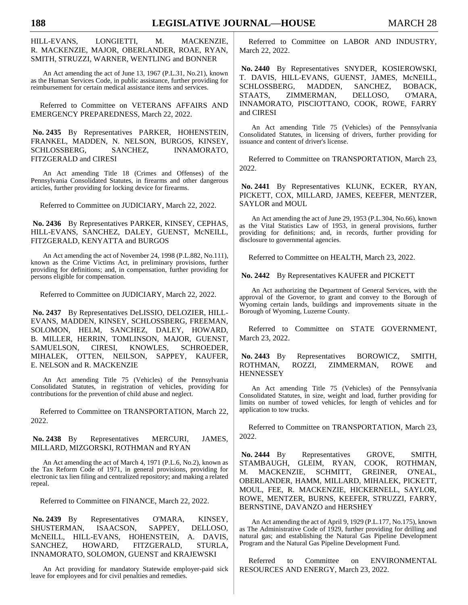HILL-EVANS, LONGIETTI, M. MACKENZIE, R. MACKENZIE, MAJOR, OBERLANDER, ROAE, RYAN, SMITH, STRUZZI, WARNER, WENTLING and BONNER

An Act amending the act of June 13, 1967 (P.L.31, No.21), known as the Human Services Code, in public assistance, further providing for reimbursement for certain medical assistance items and services.

Referred to Committee on VETERANS AFFAIRS AND EMERGENCY PREPAREDNESS, March 22, 2022.

**No. 2435** By Representatives PARKER, HOHENSTEIN, FRANKEL, MADDEN, N. NELSON, BURGOS, KINSEY, SCHLOSSBERG, SANCHEZ, INNAMORATO, FITZGERALD and CIRESI

An Act amending Title 18 (Crimes and Offenses) of the Pennsylvania Consolidated Statutes, in firearms and other dangerous articles, further providing for locking device for firearms.

Referred to Committee on JUDICIARY, March 22, 2022.

**No. 2436** By Representatives PARKER, KINSEY, CEPHAS, HILL-EVANS, SANCHEZ, DALEY, GUENST, McNEILL, FITZGERALD, KENYATTA and BURGOS

An Act amending the act of November 24, 1998 (P.L.882, No.111), known as the Crime Victims Act, in preliminary provisions, further providing for definitions; and, in compensation, further providing for persons eligible for compensation.

Referred to Committee on JUDICIARY, March 22, 2022.

**No. 2437** By Representatives DeLISSIO, DELOZIER, HILL-EVANS, MADDEN, KINSEY, SCHLOSSBERG, FREEMAN, SOLOMON, HELM, SANCHEZ, DALEY, HOWARD, B. MILLER, HERRIN, TOMLINSON, MAJOR, GUENST, SAMUELSON, CIRESI, KNOWLES, SCHROEDER, MIHALEK, OTTEN, NEILSON, SAPPEY, KAUFER, E. NELSON and R. MACKENZIE

An Act amending Title 75 (Vehicles) of the Pennsylvania Consolidated Statutes, in registration of vehicles, providing for contributions for the prevention of child abuse and neglect.

Referred to Committee on TRANSPORTATION, March 22, 2022.

**No. 2438** By Representatives MERCURI, JAMES, MILLARD, MIZGORSKI, ROTHMAN and RYAN

An Act amending the act of March 4, 1971 (P.L.6, No.2), known as the Tax Reform Code of 1971, in general provisions, providing for electronic tax lien filing and centralized repository; and making a related repeal.

Referred to Committee on FINANCE, March 22, 2022.

**No. 2439** By Representatives O'MARA, KINSEY, SHUSTERMAN, ISAACSON, SAPPEY, DELLOSO, McNEILL, HILL-EVANS, HOHENSTEIN, A. DAVIS, SANCHEZ, HOWARD, FITZGERALD, STURLA, INNAMORATO, SOLOMON, GUENST and KRAJEWSKI

An Act providing for mandatory Statewide employer-paid sick leave for employees and for civil penalties and remedies.

Referred to Committee on LABOR AND INDUSTRY, March 22, 2022.

**No. 2440** By Representatives SNYDER, KOSIEROWSKI, T. DAVIS, HILL-EVANS, GUENST, JAMES, McNEILL, SCHLOSSBERG, MADDEN, SANCHEZ, BOBACK, STAATS, ZIMMERMAN, DELLOSO, O'MARA, INNAMORATO, PISCIOTTANO, COOK, ROWE, FARRY and CIRESI

An Act amending Title 75 (Vehicles) of the Pennsylvania Consolidated Statutes, in licensing of drivers, further providing for issuance and content of driver's license.

Referred to Committee on TRANSPORTATION, March 23, 2022.

**No. 2441** By Representatives KLUNK, ECKER, RYAN, PICKETT, COX, MILLARD, JAMES, KEEFER, MENTZER, SAYLOR and MOUL

An Act amending the act of June 29, 1953 (P.L.304, No.66), known as the Vital Statistics Law of 1953, in general provisions, further providing for definitions; and, in records, further providing for disclosure to governmental agencies.

Referred to Committee on HEALTH, March 23, 2022.

**No. 2442** By Representatives KAUFER and PICKETT

An Act authorizing the Department of General Services, with the approval of the Governor, to grant and convey to the Borough of Wyoming certain lands, buildings and improvements situate in the Borough of Wyoming, Luzerne County.

Referred to Committee on STATE GOVERNMENT, March 23, 2022.

**No. 2443** By Representatives BOROWICZ, SMITH, ROTHMAN, ROZZI, ZIMMERMAN, ROWE and **HENNESSEY** 

An Act amending Title 75 (Vehicles) of the Pennsylvania Consolidated Statutes, in size, weight and load, further providing for limits on number of towed vehicles, for length of vehicles and for application to tow trucks.

Referred to Committee on TRANSPORTATION, March 23, 2022.

**No. 2444** By Representatives GROVE, SMITH, STAMBAUGH, GLEIM, RYAN, COOK, ROTHMAN, M. MACKENZIE, SCHMITT, GREINER, O'NEAL, OBERLANDER, HAMM, MILLARD, MIHALEK, PICKETT, MOUL, FEE, R. MACKENZIE, HICKERNELL, SAYLOR, ROWE, MENTZER, BURNS, KEEFER, STRUZZI, FARRY, BERNSTINE, DAVANZO and HERSHEY

An Act amending the act of April 9, 1929 (P.L.177, No.175), known as The Administrative Code of 1929, further providing for drilling and natural gas; and establishing the Natural Gas Pipeline Development Program and the Natural Gas Pipeline Development Fund.

Referred to Committee on ENVIRONMENTAL RESOURCES AND ENERGY, March 23, 2022.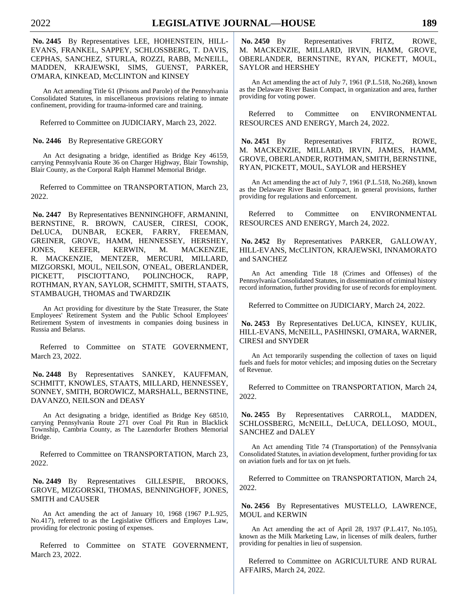**No. 2445** By Representatives LEE, HOHENSTEIN, HILL-EVANS, FRANKEL, SAPPEY, SCHLOSSBERG, T. DAVIS, CEPHAS, SANCHEZ, STURLA, ROZZI, RABB, McNEILL, MADDEN, KRAJEWSKI, SIMS, GUENST, PARKER, O'MARA, KINKEAD, McCLINTON and KINSEY

An Act amending Title 61 (Prisons and Parole) of the Pennsylvania Consolidated Statutes, in miscellaneous provisions relating to inmate confinement, providing for trauma-informed care and training.

Referred to Committee on JUDICIARY, March 23, 2022.

#### **No. 2446** By Representative GREGORY

An Act designating a bridge, identified as Bridge Key 46159, carrying Pennsylvania Route 36 on Charger Highway, Blair Township, Blair County, as the Corporal Ralph Hammel Memorial Bridge.

Referred to Committee on TRANSPORTATION, March 23, 2022.

**No. 2447** By Representatives BENNINGHOFF, ARMANINI, BERNSTINE, R. BROWN, CAUSER, CIRESI, COOK, DeLUCA, DUNBAR, ECKER, FARRY, FREEMAN, GREINER, GROVE, HAMM, HENNESSEY, HERSHEY, JONES, KEEFER, KERWIN, M. MACKENZIE, R. MACKENZIE, MENTZER, MERCURI, MILLARD, MIZGORSKI, MOUL, NEILSON, O'NEAL, OBERLANDER, PICKETT, PISCIOTTANO, POLINCHOCK, RAPP, ROTHMAN, RYAN, SAYLOR, SCHMITT, SMITH, STAATS, STAMBAUGH, THOMAS and TWARDZIK

An Act providing for divestiture by the State Treasurer, the State Employees' Retirement System and the Public School Employees' Retirement System of investments in companies doing business in Russia and Belarus.

Referred to Committee on STATE GOVERNMENT, March 23, 2022.

**No. 2448** By Representatives SANKEY, KAUFFMAN, SCHMITT, KNOWLES, STAATS, MILLARD, HENNESSEY, SONNEY, SMITH, BOROWICZ, MARSHALL, BERNSTINE, DAVANZO, NEILSON and DEASY

An Act designating a bridge, identified as Bridge Key 68510, carrying Pennsylvania Route 271 over Coal Pit Run in Blacklick Township, Cambria County, as The Lazendorfer Brothers Memorial Bridge.

Referred to Committee on TRANSPORTATION, March 23, 2022.

**No. 2449** By Representatives GILLESPIE, BROOKS, GROVE, MIZGORSKI, THOMAS, BENNINGHOFF, JONES, SMITH and CAUSER

An Act amending the act of January 10, 1968 (1967 P.L.925, No.417), referred to as the Legislative Officers and Employes Law, providing for electronic posting of expenses.

Referred to Committee on STATE GOVERNMENT, March 23, 2022.

**No. 2450** By Representatives FRITZ, ROWE, M. MACKENZIE, MILLARD, IRVIN, HAMM, GROVE, OBERLANDER, BERNSTINE, RYAN, PICKETT, MOUL, SAYLOR and HERSHEY

An Act amending the act of July 7, 1961 (P.L.518, No.268), known as the Delaware River Basin Compact, in organization and area, further providing for voting power.

Referred to Committee on ENVIRONMENTAL RESOURCES AND ENERGY, March 24, 2022.

**No. 2451** By Representatives FRITZ, ROWE, M. MACKENZIE, MILLARD, IRVIN, JAMES, HAMM, GROVE, OBERLANDER, ROTHMAN, SMITH, BERNSTINE, RYAN, PICKETT, MOUL, SAYLOR and HERSHEY

An Act amending the act of July 7, 1961 (P.L.518, No.268), known as the Delaware River Basin Compact, in general provisions, further providing for regulations and enforcement.

Referred to Committee on ENVIRONMENTAL RESOURCES AND ENERGY, March 24, 2022.

**No. 2452** By Representatives PARKER, GALLOWAY, HILL-EVANS, McCLINTON, KRAJEWSKI, INNAMORATO and SANCHEZ

An Act amending Title 18 (Crimes and Offenses) of the Pennsylvania Consolidated Statutes, in dissemination of criminal history record information, further providing for use of records for employment.

Referred to Committee on JUDICIARY, March 24, 2022.

**No. 2453** By Representatives DeLUCA, KINSEY, KULIK, HILL-EVANS, McNEILL, PASHINSKI, O'MARA, WARNER, CIRESI and SNYDER

An Act temporarily suspending the collection of taxes on liquid fuels and fuels for motor vehicles; and imposing duties on the Secretary of Revenue.

Referred to Committee on TRANSPORTATION, March 24, 2022.

**No. 2455** By Representatives CARROLL, MADDEN, SCHLOSSBERG, McNEILL, DeLUCA, DELLOSO, MOUL, SANCHEZ and DALEY

An Act amending Title 74 (Transportation) of the Pennsylvania Consolidated Statutes, in aviation development, further providing for tax on aviation fuels and for tax on jet fuels.

Referred to Committee on TRANSPORTATION, March 24, 2022.

No. 2456 By Representatives MUSTELLO, LAWRENCE, MOUL and KERWIN

An Act amending the act of April 28, 1937 (P.L.417, No.105), known as the Milk Marketing Law, in licenses of milk dealers, further providing for penalties in lieu of suspension.

Referred to Committee on AGRICULTURE AND RURAL AFFAIRS, March 24, 2022.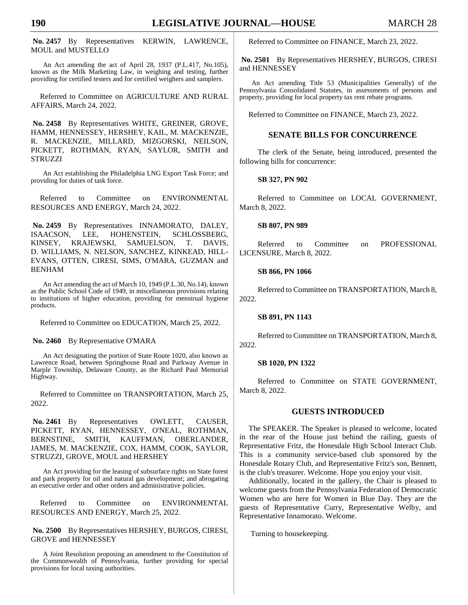**No. 2457** By Representatives KERWIN, LAWRENCE, MOUL and MUSTELLO

An Act amending the act of April 28, 1937 (P.L.417, No.105), known as the Milk Marketing Law, in weighing and testing, further providing for certified testers and for certified weighers and samplers.

Referred to Committee on AGRICULTURE AND RURAL AFFAIRS, March 24, 2022.

**No. 2458** By Representatives WHITE, GREINER, GROVE, HAMM, HENNESSEY, HERSHEY, KAIL, M. MACKENZIE, R. MACKENZIE, MILLARD, MIZGORSKI, NEILSON, PICKETT, ROTHMAN, RYAN, SAYLOR, SMITH and STRUZZI

An Act establishing the Philadelphia LNG Export Task Force; and providing for duties of task force.

Referred to Committee on ENVIRONMENTAL RESOURCES AND ENERGY, March 24, 2022.

**No. 2459** By Representatives INNAMORATO, DALEY, ISAACSON, LEE, HOHENSTEIN, SCHLOSSBERG, KINSEY, KRAJEWSKI, SAMUELSON, T. DAVIS, D. WILLIAMS, N. NELSON, SANCHEZ, KINKEAD, HILL-EVANS, OTTEN, CIRESI, SIMS, O'MARA, GUZMAN and BENHAM

An Act amending the act of March 10, 1949 (P.L.30, No.14), known as the Public School Code of 1949, in miscellaneous provisions relating to institutions of higher education, providing for menstrual hygiene products.

Referred to Committee on EDUCATION, March 25, 2022.

**No. 2460** By Representative O'MARA

An Act designating the portion of State Route 1020, also known as Lawrence Road, between Springhouse Road and Parkway Avenue in Marple Township, Delaware County, as the Richard Paul Memorial Highway.

Referred to Committee on TRANSPORTATION, March 25, 2022.

**No. 2461** By Representatives OWLETT, CAUSER, PICKETT, RYAN, HENNESSEY, O'NEAL, ROTHMAN, BERNSTINE, SMITH, KAUFFMAN, OBERLANDER, JAMES, M. MACKENZIE, COX, HAMM, COOK, SAYLOR, STRUZZI, GROVE, MOUL and HERSHEY

An Act providing for the leasing of subsurface rights on State forest and park property for oil and natural gas development; and abrogating an executive order and other orders and administrative policies.

Referred to Committee on ENVIRONMENTAL RESOURCES AND ENERGY, March 25, 2022.

**No. 2500** By Representatives HERSHEY, BURGOS, CIRESI, GROVE and HENNESSEY

A Joint Resolution proposing an amendment to the Constitution of the Commonwealth of Pennsylvania, further providing for special provisions for local taxing authorities.

Referred to Committee on FINANCE, March 23, 2022.

**No. 2501** By Representatives HERSHEY, BURGOS, CIRESI and HENNESSEY

An Act amending Title 53 (Municipalities Generally) of the Pennsylvania Consolidated Statutes, in assessments of persons and property, providing for local property tax rent rebate programs.

Referred to Committee on FINANCE, March 23, 2022.

#### **SENATE BILLS FOR CONCURRENCE**

The clerk of the Senate, being introduced, presented the following bills for concurrence:

**SB 327, PN 902**

Referred to Committee on LOCAL GOVERNMENT, March 8, 2022.

#### **SB 807, PN 989**

Referred to Committee on PROFESSIONAL LICENSURE, March 8, 2022.

#### **SB 866, PN 1066**

Referred to Committee on TRANSPORTATION, March 8, 2022.

#### **SB 891, PN 1143**

Referred to Committee on TRANSPORTATION, March 8, 2022.

#### **SB 1020, PN 1322**

Referred to Committee on STATE GOVERNMENT, March 8, 2022.

#### **GUESTS INTRODUCED**

The SPEAKER. The Speaker is pleased to welcome, located in the rear of the House just behind the railing, guests of Representative Fritz, the Honesdale High School Interact Club. This is a community service-based club sponsored by the Honesdale Rotary Club, and Representative Fritz's son, Bennett, is the club's treasurer. Welcome. Hope you enjoy your visit.

Additionally, located in the gallery, the Chair is pleased to welcome guests from the Pennsylvania Federation of Democratic Women who are here for Women in Blue Day. They are the guests of Representative Curry, Representative Welby, and Representative Innamorato. Welcome.

Turning to housekeeping.